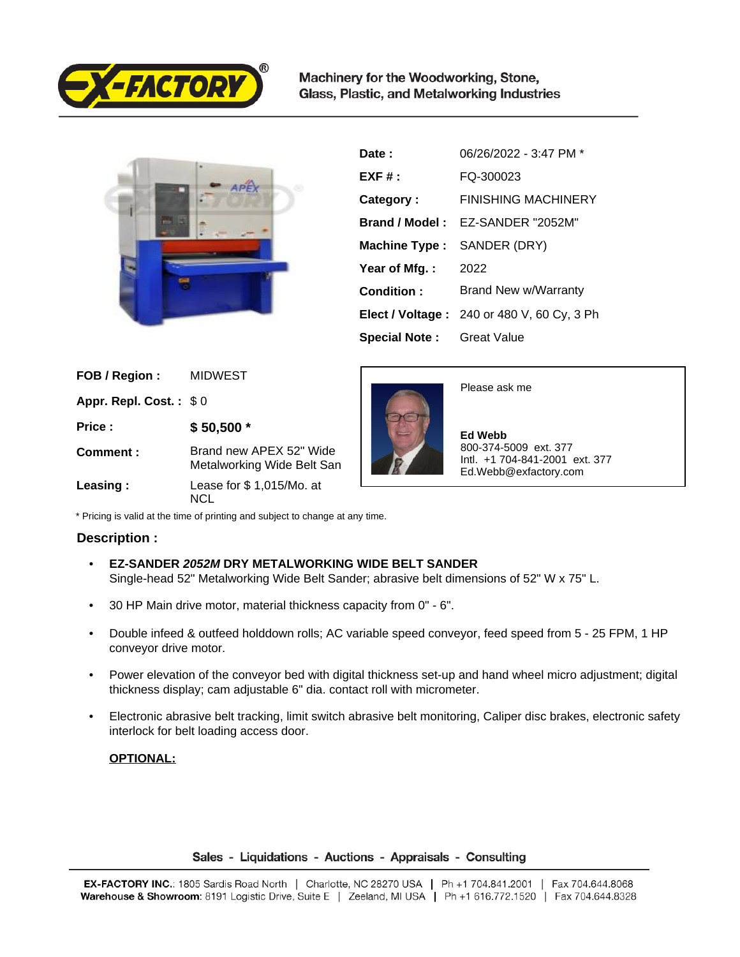

Machinery for the Woodworking, Stone, Glass, Plastic, and Metalworking Industries



| Date:                | 06/26/2022 - 3:47 PM *                            |
|----------------------|---------------------------------------------------|
| $EXF#$ :             | FQ-300023                                         |
| Category:            | <b>FINISHING MACHINERY</b>                        |
| Brand / Model:       | EZ-SANDER "2052M"                                 |
| <b>Machine Type:</b> | SANDER (DRY)                                      |
| Year of Mfg.:        | 2022                                              |
| Condition:           | Brand New w/Warranty                              |
|                      | <b>Elect / Voltage: 240 or 480 V, 60 Cy, 3 Ph</b> |
| <b>Special Note:</b> | Great Value                                       |

| FOB / Region:          | <b>MIDWEST</b>                                        |
|------------------------|-------------------------------------------------------|
| Appr. Repl. Cost.: \$0 |                                                       |
| Price:                 | $$50,500*$                                            |
| Comment:               | Brand new APEX 52" Wide<br>Metalworking Wide Belt San |
| Leasing:               | Lease for \$1,015/Mo. at<br>NICI.                     |

Please ask me

 **Ed Webb** 800-374-5009 ext. 377 Intl. +1 704-841-2001 ext. 377 Ed.Webb@exfactory.com

\* Pricing is valid at the time of printing and subject to change at any time.

## **Description :**

- **EZ-SANDER 2052M DRY METALWORKING WIDE BELT SANDER** Single-head 52" Metalworking Wide Belt Sander; abrasive belt dimensions of 52" W x 75" L.
- 30 HP Main drive motor, material thickness capacity from 0" 6".
- Double infeed & outfeed holddown rolls; AC variable speed conveyor, feed speed from 5 25 FPM, 1 HP conveyor drive motor.
- Power elevation of the conveyor bed with digital thickness set-up and hand wheel micro adjustment; digital thickness display; cam adjustable 6" dia. contact roll with micrometer.
- Electronic abrasive belt tracking, limit switch abrasive belt monitoring, Caliper disc brakes, electronic safety interlock for belt loading access door.

## **OPTIONAL:**

## Sales - Liquidations - Auctions - Appraisals - Consulting